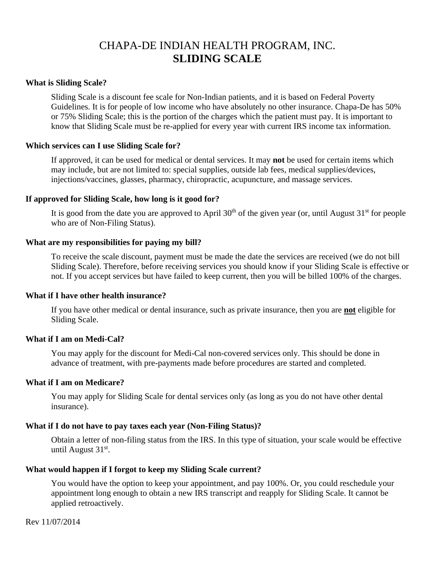# CHAPA-DE INDIAN HEALTH PROGRAM, INC. **SLIDING SCALE**

## **What is Sliding Scale?**

Sliding Scale is a discount fee scale for Non-Indian patients, and it is based on Federal Poverty Guidelines. It is for people of low income who have absolutely no other insurance. Chapa-De has 50% or 75% Sliding Scale; this is the portion of the charges which the patient must pay. It is important to know that Sliding Scale must be re-applied for every year with current IRS income tax information.

## **Which services can I use Sliding Scale for?**

If approved, it can be used for medical or dental services. It may **not** be used for certain items which may include, but are not limited to: special supplies, outside lab fees, medical supplies/devices, injections/vaccines, glasses, pharmacy, chiropractic, acupuncture, and massage services.

## **If approved for Sliding Scale, how long is it good for?**

It is good from the date you are approved to April  $30<sup>th</sup>$  of the given year (or, until August  $31<sup>st</sup>$  for people who are of Non-Filing Status).

## **What are my responsibilities for paying my bill?**

To receive the scale discount, payment must be made the date the services are received (we do not bill Sliding Scale). Therefore, before receiving services you should know if your Sliding Scale is effective or not. If you accept services but have failed to keep current, then you will be billed 100% of the charges.

#### **What if I have other health insurance?**

If you have other medical or dental insurance, such as private insurance, then you are **not** eligible for Sliding Scale.

## **What if I am on Medi-Cal?**

You may apply for the discount for Medi-Cal non-covered services only. This should be done in advance of treatment, with pre-payments made before procedures are started and completed.

## **What if I am on Medicare?**

You may apply for Sliding Scale for dental services only (as long as you do not have other dental insurance).

## **What if I do not have to pay taxes each year (Non-Filing Status)?**

Obtain a letter of non-filing status from the IRS. In this type of situation, your scale would be effective until August 31st.

## **What would happen if I forgot to keep my Sliding Scale current?**

You would have the option to keep your appointment, and pay 100%. Or, you could reschedule your appointment long enough to obtain a new IRS transcript and reapply for Sliding Scale. It cannot be applied retroactively.